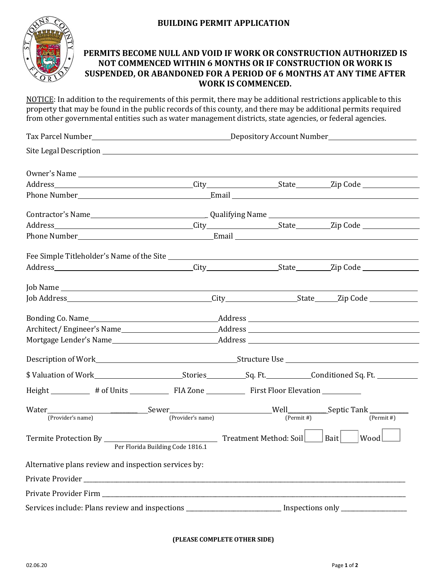## **BUILDING PERMIT APPLICATION**



## **PERMITS BECOME NULL AND VOID IF WORK OR CONSTRUCTION AUTHORIZED IS NOT COMMENCED WITHIN 6 MONTHS OR IF CONSTRUCTION OR WORK IS SUSPENDED, OR ABANDONED FOR A PERIOD OF 6 MONTHS AT ANY TIME AFTER WORK IS COMMENCED.**

NOTICE: In addition to the requirements of this permit, there may be additional restrictions applicable to this property that may be found in the public records of this county, and there may be additional permits required from other governmental entities such as water management districts, state agencies, or federal agencies.

| Height _________ # of Units ____________ FIA Zone ____________ First Floor Elevation __________<br>$(Permit \#)$<br>(Provider's name)<br>$(Permit \#)$<br>(Provider's name)<br>$\mathsf{ Wood }\_\_$<br>Per Florida Building Code 1816.1<br>Alternative plans review and inspection services by: |        |  |  |
|--------------------------------------------------------------------------------------------------------------------------------------------------------------------------------------------------------------------------------------------------------------------------------------------------|--------|--|--|
|                                                                                                                                                                                                                                                                                                  |        |  |  |
|                                                                                                                                                                                                                                                                                                  |        |  |  |
|                                                                                                                                                                                                                                                                                                  |        |  |  |
|                                                                                                                                                                                                                                                                                                  |        |  |  |
|                                                                                                                                                                                                                                                                                                  |        |  |  |
|                                                                                                                                                                                                                                                                                                  |        |  |  |
|                                                                                                                                                                                                                                                                                                  |        |  |  |
|                                                                                                                                                                                                                                                                                                  |        |  |  |
| \$ Valuation of Work Subsettled Sq. Ft. Stories Sq. Ft. Sq. Ft. Sq. Ft. Sq. Ft. Sq. Ft. Sq. Ft. Sq. Ft. Sq. Ft. Sq. Ft. Sq. Ft. Sq. Ft. Sq. Ft. Sq. Ft. Sq. Ft. Sq. Ft. Sq. Ft. Sq. Ft. Sq. Ft. Sq. Ft. Sq. Ft. Sq. Ft. Sq. Ft.                                                                  |        |  |  |
|                                                                                                                                                                                                                                                                                                  |        |  |  |
|                                                                                                                                                                                                                                                                                                  |        |  |  |
|                                                                                                                                                                                                                                                                                                  |        |  |  |
|                                                                                                                                                                                                                                                                                                  |        |  |  |
|                                                                                                                                                                                                                                                                                                  |        |  |  |
|                                                                                                                                                                                                                                                                                                  |        |  |  |
|                                                                                                                                                                                                                                                                                                  |        |  |  |
|                                                                                                                                                                                                                                                                                                  |        |  |  |
|                                                                                                                                                                                                                                                                                                  | Water_ |  |  |
|                                                                                                                                                                                                                                                                                                  |        |  |  |
|                                                                                                                                                                                                                                                                                                  |        |  |  |
|                                                                                                                                                                                                                                                                                                  |        |  |  |
|                                                                                                                                                                                                                                                                                                  |        |  |  |
|                                                                                                                                                                                                                                                                                                  |        |  |  |
| Services include: Plans review and inspections ___________________________ Inspections only ______________                                                                                                                                                                                       |        |  |  |

## **(PLEASE COMPLETE OTHER SIDE)**